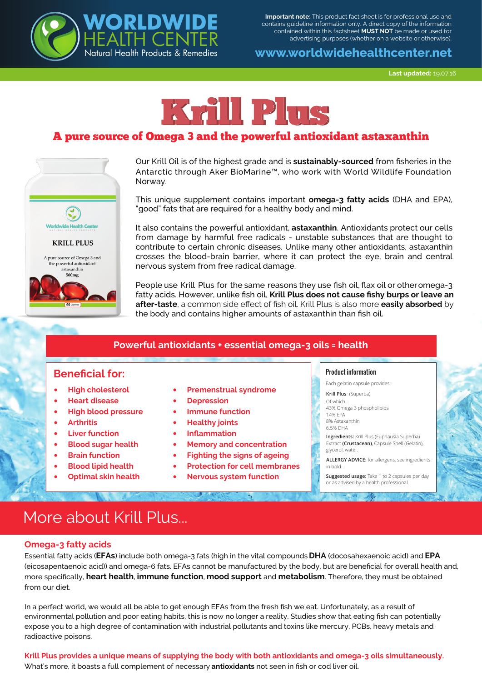

**Important note:** This product fact sheet is for professional use and contains guideline information only. A direct copy of the information contained within this factsheet **MUST NOT** be made or used for advertising purposes (whether on a website or otherwise).

# **www.worldwidehealthcenter.net**

**Last updated:** 19.07.16



# A pure source of Omega 3 and the powerful antioxidant astaxanthin



Our Krill Oil is of the highest grade and is **sustainably-sourced** from fisheries in the Antarctic through Aker BioMarine™, who work with World Wildlife Foundation Norway.

This unique supplement contains important **omega-3 fatty acids** (DHA and EPA), "good" fats that are required for a healthy body and mind.

It also contains the powerful antioxidant, **astaxanthin**. Antioxidants protect our cells from damage by harmful free radicals - unstable substances that are thought to contribute to certain chronic diseases. Unlike many other antioxidants, astaxanthin crosses the blood-brain barrier, where it can protect the eye, brain and central nervous system from free radical damage.

People use Krill Plus for the same reasons they use fish oil, flax oil or other omega-3 fatty acids. However, unlike fish oil, **Krill Plus does not cause fishy burps or leave an after-taste**, a common side effect of fish oil. Krill Plus is also more **easily absorbed** by the body and contains higher amounts of astaxanthin than fish oil.

## **Powerful antioxidants + essential omega-3 oils = health**

## **Beneficial for:**

- **High cholesterol**
- **Heart disease**
- **High blood pressure**
- **Arthritis**
- **Liver function**
- **Blood sugar health**
- **Brain function**
- **Blood lipid health**
- **Optimal skin health**
- **Premenstrual syndrome**
- **Depression**
- **Immune function**
- **Healthy joints**
- **Inflammation**
- **Memory and concentration**
- **Fighting the signs of ageing**
- **Protection for cell membranes**
- **Nervous system function**

#### Product information

Each gelatin capsule provides:

- **Krill Plus** (Superba) Of which.
- 43% Omega 3 phospholipids 14% EPA
- 8% Astaxanthin
- 6.5% DHA

**Ingredients:** Krill Plus (Euphausia Superba) Extract **(Crustacean)**, Capsule Shell (Gelatin), glycerol, water

**ALLERGY ADVICE:** for allergens, see ingredients in bold.

**Suggested usage:** Take 1 to 2 capsules per day or as advised by a health professional.

# More about Krill Plus...

### **Omega-3 fatty acids**

Essential fatty acids (**EFAs**) include both omega-3 fats (high in the vital compounds **DHA** (docosahexaenoic acid) and **EPA**  (eicosapentaenoic acid)) and omega-6 fats. EFAs cannot be manufactured by the body, but are beneficial for overall health and, more specifically, **heart health**, **immune function**, **mood support** and **metabolism**. Therefore, they must be obtained from our diet.

In a perfect world, we would all be able to get enough EFAs from the fresh fish we eat. Unfortunately, as a result of environmental pollution and poor eating habits, this is now no longer a reality. Studies show that eating fish can potentially expose you to a high degree of contamination with industrial pollutants and toxins like mercury, PCBs, heavy metals and radioactive poisons.

**Krill Plus provides a unique means of supplying the body with both antioxidants and omega-3 oils simultaneously.**  What's more, it boasts a full complement of necessary **antioxidants** not seen in fish or cod liver oil.